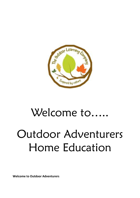

# Welcome to….. Outdoor Adventurers Home Education

**Welcome to Outdoor Adventurers**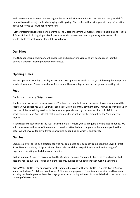Welcome to our unique outdoor setting on the beautiful Hinton Admiral Estate. We are sure your child's time with us will be enjoyable, challenging and inspiring. This leaflet will provide you with key information about our Home Ed - Outdoor Adventurers.

Further information is available to parents in The Outdoor Learning Company's Operational Plan and Health & Safety folder including all policies & procedures, risk assessments and supporting information. If you would like to request a copy please let Justin know.

# **Our Ethos**

The Outdoor Learning Company will encourage and support individuals of any age to reach their full potential through inspiring outdoor experiences.

# **Opening Times**

We are operating Monday to Friday 10.00-15.30. We operate 39 weeks of the year following the Hampshire academic calendar. Please let us know if you would like more days so we can put you on a waiting list.

#### **Fees**

Our Fees are currently £26 per session.

The First four weeks will be pay as you go. You have the right to leave at any point. If you have enjoyed the first four (we expect you will!) you will then be set up on a monthly payment plan. This will be worked out on the cost of the remaining sessions in the academic year divided by the number of months left in the academic year (sept-Aug). We ask that a standing order be set up for this amount on the 15th of every month.

If you choose to leave during the year (after the initial 4 weeks), we will require 6 weeks' notice period. We will then calculate the cost of the amount of sessions attended and compare to the amount paid to that date. We will invoice for any difference or refund depending on which is appropriate.

#### **Our Team**

Each session will be led by a practitioner who has completed or is currently completing the Level 3 Forest School Leaders training. All practitioners have relevant childcare qualifications and a wide range of experiences working with children and families.

**Justin Hannam-** As part of his role within the Outdoor Learning Company Justin is the co-ordinator of all sessions for the over 5's. To book on extra sessions, queries about payment then Justin is your man.

**Britta Wells** - Britta is the Supervisor for the home ed sessions at Hinton. Britta is a level 3 Forest School leader and a level 6 childcare practitioner. Britta has a huge passion for outdoor education and has been working in a leading role within all our age groups since starting with us. Britta will deal with the day to day running of the sessions.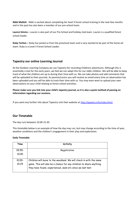**Nikki Mallett** - Nikki is excited about completing her level 3 forest school training in the next few months and in the past has also been a member of our pre-school team.

**Lauren Simms –** Lauren is also part of our Pre-School and holiday club team. Lauren is a qualified forest school leader.

**Ruby Tarlton –** Ruby has joined us from the preschool team and is very excited to be part of the home ed team. Ruby is a Level 3 Forest School Leader.

## **Tapestry our online Learning Journal**

At the Outdoor Learning Company we use Tapestry for recording Childrens adventures. Although this is essentially a tool for the early years, we feel we can adapt this for our older children. We will be able to keep track of what the children are up to during their time with us. We can take photos and add comments that will be uploaded to their journals. As parents/carers you will receive an email every time an observation has been uploaded and you will be able to track their time with us. You may even want to upload your own observations on your child relating to forest school activities.

**Please make sure you link into your child's tapestry journal, as it is also a quick method of passing on information regarding our sessions.**

If you want any further info about Tapestry visit their website at <http://tapestry.info/index.html/>

## **Our Timetable**

The day runs between 10.00-15.30.

This timetable below is an example of how the day may run, but may change according to the time of year, weather conditions and the children's engagement in their play and exploration.

#### **Daily Timetable**

| Time      | <b>Activity</b>                                                                                                                  |
|-----------|----------------------------------------------------------------------------------------------------------------------------------|
| 09.55-    | Registration                                                                                                                     |
| 10,00     |                                                                                                                                  |
| $10.00 -$ | Children will move to the woodland. We will check in with the name                                                               |
| 10.25     | game. This will also be a chance for any children to share anything<br>they have found, experienced, seen etc since we last met. |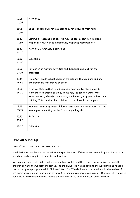| $10.25 -$ | Activity 1.                                                              |
|-----------|--------------------------------------------------------------------------|
| 11.05     |                                                                          |
|           |                                                                          |
| 11.05-    | Snack- children will have a snack they have bought from home.            |
| 11.20     |                                                                          |
|           |                                                                          |
| 11.20-    | Community Responsibilities. This may include- collecting fire wood,      |
| 11.35     | preparing fire, clearing in woodland, preparing resources etc.           |
| 11.30-    | Activity 2 or Activity 1 continued                                       |
| 12.30     |                                                                          |
|           |                                                                          |
| 12.30-    | Lunchtime                                                                |
| 13.00     |                                                                          |
| 13.00-    |                                                                          |
|           | Reflection on morning activities and discussion on plans for the         |
| 13.15     | afternoon.                                                               |
| $13.15 -$ | Free Play Forest School, children can explore the woodland and any       |
| 14.45     | enhancements that maybe on offer.                                        |
|           |                                                                          |
| 14.00-    | Practical skills session- children come together for the chance to       |
| 14.30     | learn practical woodland skills. These may include tool work, knot       |
|           | work, tracking, identification extra, bug hunting, prep for cooking, den |
|           | building. This is optional and children do not have to participate.      |
|           |                                                                          |
| 14.45-    | Tidy and Community time- Children come together for an activity. This    |
| 15.15     | maybe games, cooking on the fire, storytelling etc.                      |
| $15.15 -$ | Reflection                                                               |
| 15,20     |                                                                          |
|           |                                                                          |
| 15.30     | Collection                                                               |
|           |                                                                          |

# **Drop off & Pick Up**

Drop off and pick up times are 10.00 and 15.30.

It will be important that you arrive before the specified drop off time. As we do not drop off directly at our woodland and are required to walk to our location.

We do understand that children will occasionally arrive late and this is not a problem. You can walk the children down to the woodland to join us. The child **MUST** be walked down to the woodland and handed over to us by an appropriate adult. Children **SHOULD NOT** walk down to the woodland by themselves. If you are aware you are going to be late in advance (for example you have an appointment), please let us know in advance, as we sometimes move around the estate to get to different areas such as the lake.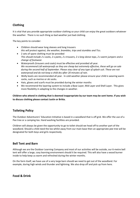# **Clothing**

It is vital that you provide appropriate outdoor clothing so your child can enjoy the great outdoors whatever the weather. There is no such thing as bad weather just bad clothing.

The key points to consider:

- Children should wear long sleeves and long trousers *this will protect against, the weather, brambles, trips and stumbles and Tics.*
- 2 sets of spare clothing must be provided *This should include 2 x socks, 2 x pants, 2 x trousers, 2 x long sleeve tops, 2 x warm jumpers and a change of footwear.*
- Waterproofs (trousers and coats) must be effective and provided all year. *We recommend Lidl waterproofs as they are cheap but extremely effective, these will go on sale during the second half of September. Please stay clear of any type of splash suit. These are not waterproof and do not keep a child dry after 20 minutes of rain.*
- Welly boots are recommended all year. In cold weather please ensure your child is wearing warm socks, such as merino or ski socks.
- Hats, gloves and scarfs must be provided during the winter months
- We recommend the layering system to include a Base Layer, Mid Layer and Shell Layer. This gives more flexibility in adapting to the changes in weather.

**Children who attend in clothing that is deemed inappropriate by our team may be sent home. If you wish to discuss clothing please contact Justin or Britta.**

# **Toileting Policy**

The Outdoor Adventurers' Education Initiative is based in a woodland that is off grid. We offer the use of a Pee tree or a camping loo. Hand washing facilities are provided.

Children will always be given the opportunity to go to toilet should we head off to another part of the woodland. Should a child need the loo whilst away from our main base then an appropriate pee tree will be designated for both boys and girls respectively.

# **Bell Tent and Barn**

Although we are the Outdoor Learning Company and most of our activities will be outside, our 6-metre bell tent will offer a large, cosy learning environment should it be required. This will also have a wood burner inside to help keep us warm and refreshed during the winter months.

On the farm itself, we have use of a very large barn should we need to get out of the woodland. For example, during high winds and thunder and lightning. We also drop off and pick up from here.

**Food & Drink**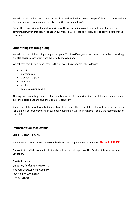We ask that all children bring their own lunch, a snack and a drink. We ask respectfully that parents pack nut free lunches, we have a number of children with server nut allergy's.

During their time with us, the children will have the opportunity to cook many different foods on our campfire. However, this does not happen every session so please do not rely on it to provide part of their snack etc.

# **Other things to bring along**

We ask that the children bring a long a back pack. This is so if we go off site they can carry their own things. It is also easier to carry stuff from the farm to the woodland.

We ask that they bring a pencil case. In this we would ask they have the following

- pencils,
- a writing pen
- a pencil sharpener
- an eraser
- a ruler
- some colouring pencils

Although we have a large amount of art supplies, we feel it's important that the children demonstrate care over their belongings and give them some responsibility.

Sometimes children will want to bring in items from home. This is fine if it is relevant to what we are doing. For example, children may bring in bug pots. Anything brought in from home is solely the responsibility of the child.

## **Important Contact Details**

## **ON THE DAY PHONE**

If you need to contact Britta the session leader on the day please use this number- **07821000391**

The contact details below are for Justin who will oversee all aspects of The Outdoor Adventurers Home Education.

Justin Hannam Director, Calder & Hannam ltd The OutdoorLearning Company Over 5's co-ordinator 07523 918580